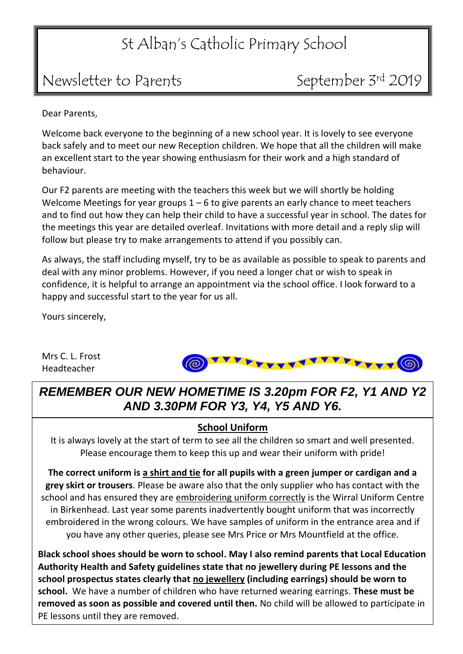## St Alban's Catholic Primary School

## Newsletter to Parents September 3rd 2019

Dear Parents,

Welcome back everyone to the beginning of a new school year. It is lovely to see everyone back safely and to meet our new Reception children. We hope that all the children will make an excellent start to the year showing enthusiasm for their work and a high standard of behaviour.

Our F2 parents are meeting with the teachers this week but we will shortly be holding Welcome Meetings for year groups  $1 - 6$  to give parents an early chance to meet teachers and to find out how they can help their child to have a successful year in school. The dates for the meetings this year are detailed overleaf. Invitations with more detail and a reply slip will follow but please try to make arrangements to attend if you possibly can.

As always, the staff including myself, try to be as available as possible to speak to parents and deal with any minor problems. However, if you need a longer chat or wish to speak in confidence, it is helpful to arrange an appointment via the school office. I look forward to a happy and successful start to the year for us all.

Yours sincerely,

Mrs C. L. Frost Headteacher



*REMEMBER OUR NEW HOMETIME IS 3.20pm FOR F2, Y1 AND Y2 AND 3.30PM FOR Y3, Y4, Y5 AND Y6.*

#### **School Uniform**

It is always lovely at the start of term to see all the children so smart and well presented. Please encourage them to keep this up and wear their uniform with pride!

**The correct uniform is a shirt and tie for all pupils with a green jumper or cardigan and a grey skirt or trousers**. Please be aware also that the only supplier who has contact with the school and has ensured they are embroidering uniform correctly is the Wirral Uniform Centre in Birkenhead. Last year some parents inadvertently bought uniform that was incorrectly embroidered in the wrong colours. We have samples of uniform in the entrance area and if you have any other queries, please see Mrs Price or Mrs Mountfield at the office.

**Black school shoes should be worn to school. May I also remind parents that Local Education Authority Health and Safety guidelines state that no jewellery during PE lessons and the school prospectus states clearly that no jewellery (including earrings) should be worn to school.** We have a number of children who have returned wearing earrings. **These must be removed as soon as possible and covered until then.** No child will be allowed to participate in PE lessons until they are removed.